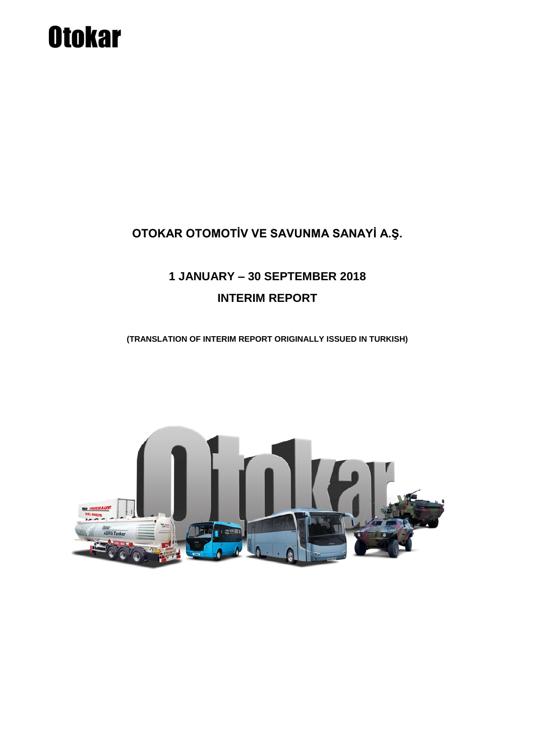### OTOKAR OTOMOTİV VE SAVUNMA SANAYİ A.Ş.

### 1 JANUARY - 30 SEPTEMBER 2018 **INTERIM REPORT**

(TRANSLATION OF INTERIM REPORT ORIGINALLY ISSUED IN TURKISH)

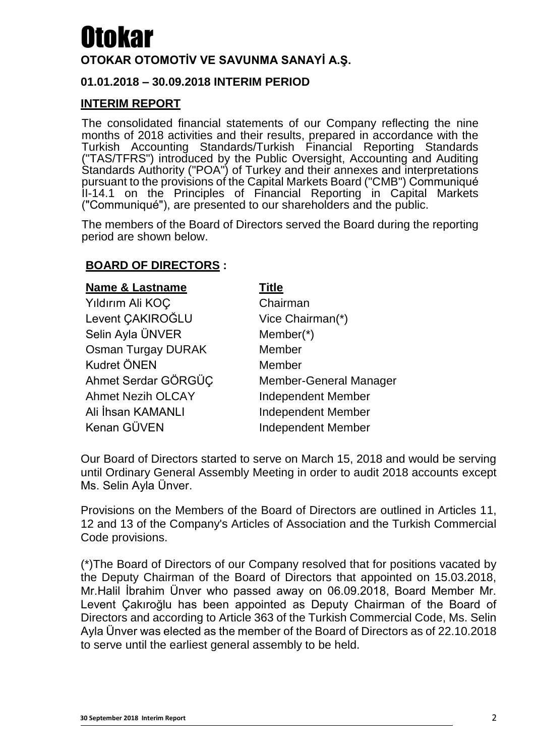#### **OTOKAR OTOMOTİV VE SAVUNMA SANAYİ A.Ş.**

#### **01.01.2018 – 30.09.2018 INTERIM PERIOD**

#### **INTERIM REPORT**

The consolidated financial statements of our Company reflecting the nine months of 2018 activities and their results, prepared in accordance with the Turkish Accounting Standards/Turkish Financial Reporting Standards ("TAS/TFRS") introduced by the Public Oversight, Accounting and Auditing Standards Authority ("POA") of Turkey and their annexes and interpretations pursuant to the provisions of the Capital Markets Board ("CMB") Communiqué II-14.1 on the Principles of Financial Reporting in Capital Markets ("Communiqué"), are presented to our shareholders and the public.

The members of the Board of Directors served the Board during the reporting period are shown below.

#### **BOARD OF DIRECTORS :**

| <b>Name &amp; Lastname</b> | <b>Title</b>                  |
|----------------------------|-------------------------------|
| Yıldırım Ali KOÇ           | Chairman                      |
| Levent CAKIROĞLU           | Vice Chairman(*)              |
| Selin Ayla ÜNVER           | Member $(*)$                  |
| <b>Osman Turgay DURAK</b>  | Member                        |
| <b>Kudret ÖNEN</b>         | Member                        |
| Ahmet Serdar GÖRGÜC        | <b>Member-General Manager</b> |
| <b>Ahmet Nezih OLCAY</b>   | <b>Independent Member</b>     |
| Ali İhsan KAMANLI          | <b>Independent Member</b>     |
| Kenan GÜVEN                | <b>Independent Member</b>     |

Our Board of Directors started to serve on March 15, 2018 and would be serving until Ordinary General Assembly Meeting in order to audit 2018 accounts except Ms. Selin Ayla Ünver.

Provisions on the Members of the Board of Directors are outlined in Articles 11, 12 and 13 of the Company's Articles of Association and the Turkish Commercial Code provisions.

(\*)The Board of Directors of our Company resolved that for positions vacated by the Deputy Chairman of the Board of Directors that appointed on 15.03.2018, Mr.Halil İbrahim Ünver who passed away on 06.09.2018, Board Member Mr. Levent Çakıroğlu has been appointed as Deputy Chairman of the Board of Directors and according to Article 363 of the Turkish Commercial Code, Ms. Selin Ayla Ünver was elected as the member of the Board of Directors as of 22.10.2018 to serve until the earliest general assembly to be held.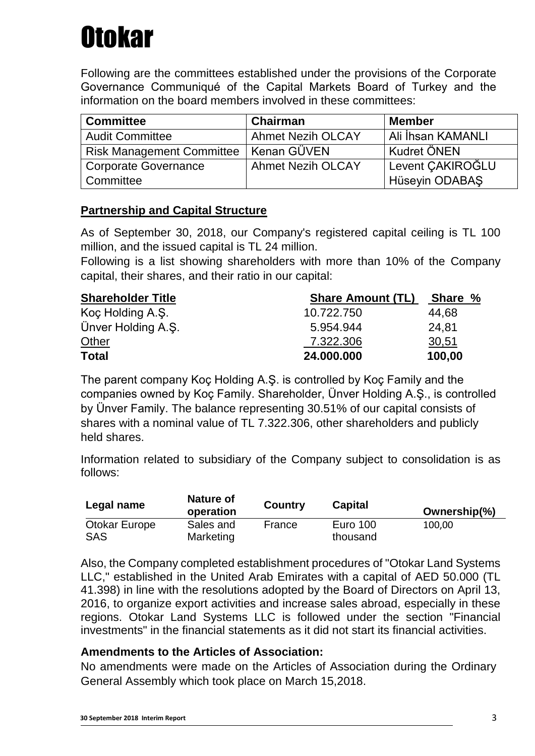Following are the committees established under the provisions of the Corporate Governance Communiqué of the Capital Markets Board of Turkey and the information on the board members involved in these committees:

| <b>Committee</b>                 | Chairman                 | <b>Member</b>      |
|----------------------------------|--------------------------|--------------------|
| <b>Audit Committee</b>           | <b>Ahmet Nezih OLCAY</b> | Ali İhsan KAMANLI  |
| <b>Risk Management Committee</b> | Kenan GÜVEN              | <b>Kudret ÖNEN</b> |
| <b>Corporate Governance</b>      | <b>Ahmet Nezih OLCAY</b> | Levent CAKIROĞLU   |
| Committee                        |                          | Hüseyin ODABAŞ     |

#### **Partnership and Capital Structure**

As of September 30, 2018, our Company's registered capital ceiling is TL 100 million, and the issued capital is TL 24 million.

Following is a list showing shareholders with more than 10% of the Company capital, their shares, and their ratio in our capital:

| <b>Shareholder Title</b> | <b>Share Amount (TL)</b> | Share % |  |
|--------------------------|--------------------------|---------|--|
| Koç Holding A.Ş.         | 10.722.750               | 44,68   |  |
| Ünver Holding A.S.       | 5.954.944                | 24.81   |  |
| <b>Other</b>             | 7.322.306                | 30,51   |  |
| <b>Total</b>             | 24.000.000               | 100,00  |  |

The parent company Koç Holding A.Ş. is controlled by Koç Family and the companies owned by Koç Family. Shareholder, Ünver Holding A.Ş., is controlled by Ünver Family. The balance representing 30.51% of our capital consists of shares with a nominal value of TL 7.322.306, other shareholders and publicly held shares.

Information related to subsidiary of the Company subject to consolidation is as follows:

| Legal name                  | Nature of<br>operation | <b>Country</b> | <b>Capital</b>              | Ownership(%) |
|-----------------------------|------------------------|----------------|-----------------------------|--------------|
| Otokar Europe<br><b>SAS</b> | Sales and<br>Marketing | France         | <b>Euro 100</b><br>thousand | 100,00       |

Also, the Company completed establishment procedures of "Otokar Land Systems LLC," established in the United Arab Emirates with a capital of AED 50.000 (TL 41.398) in line with the resolutions adopted by the Board of Directors on April 13, 2016, to organize export activities and increase sales abroad, especially in these regions. Otokar Land Systems LLC is followed under the section "Financial investments" in the financial statements as it did not start its financial activities.

#### **Amendments to the Articles of Association:**

No amendments were made on the Articles of Association during the Ordinary General Assembly which took place on March 15,2018.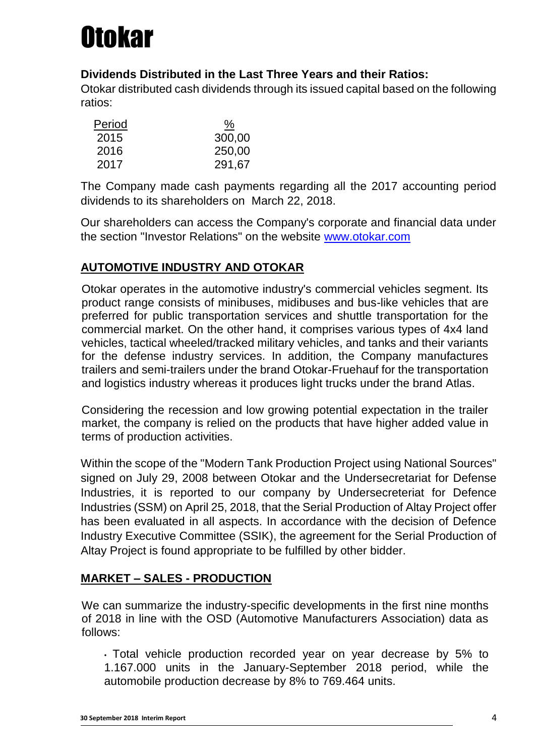

#### **Dividends Distributed in the Last Three Years and their Ratios:**

Otokar distributed cash dividends through its issued capital based on the following ratios:

| Period | ℅      |
|--------|--------|
| 2015   | 300,00 |
| 2016   | 250,00 |
| 2017   | 291,67 |

The Company made cash payments regarding all the 2017 accounting period dividends to its shareholders on March 22, 2018.

Our shareholders can access the Company's corporate and financial data under the section "Investor Relations" on the website [www.otokar.com](http://www.otokar.com/)

#### **AUTOMOTIVE INDUSTRY AND OTOKAR**

Otokar operates in the automotive industry's commercial vehicles segment. Its product range consists of minibuses, midibuses and bus-like vehicles that are preferred for public transportation services and shuttle transportation for the commercial market. On the other hand, it comprises various types of 4x4 land vehicles, tactical wheeled/tracked military vehicles, and tanks and their variants for the defense industry services. In addition, the Company manufactures trailers and semi-trailers under the brand Otokar-Fruehauf for the transportation and logistics industry whereas it produces light trucks under the brand Atlas.

Considering the recession and low growing potential expectation in the trailer market, the company is relied on the products that have higher added value in terms of production activities.

Within the scope of the "Modern Tank Production Project using National Sources" signed on July 29, 2008 between Otokar and the Undersecretariat for Defense Industries, it is reported to our company by Undersecreteriat for Defence Industries (SSM) on April 25, 2018, that the Serial Production of Altay Project offer has been evaluated in all aspects. In accordance with the decision of Defence Industry Executive Committee (SSIK), the agreement for the Serial Production of Altay Project is found appropriate to be fulfilled by other bidder.

#### **MARKET – SALES - PRODUCTION**

We can summarize the industry-specific developments in the first nine months of 2018 in line with the OSD (Automotive Manufacturers Association) data as follows:

• Total vehicle production recorded year on year decrease by 5% to 1.167.000 units in the January-September 2018 period, while the automobile production decrease by 8% to 769.464 units.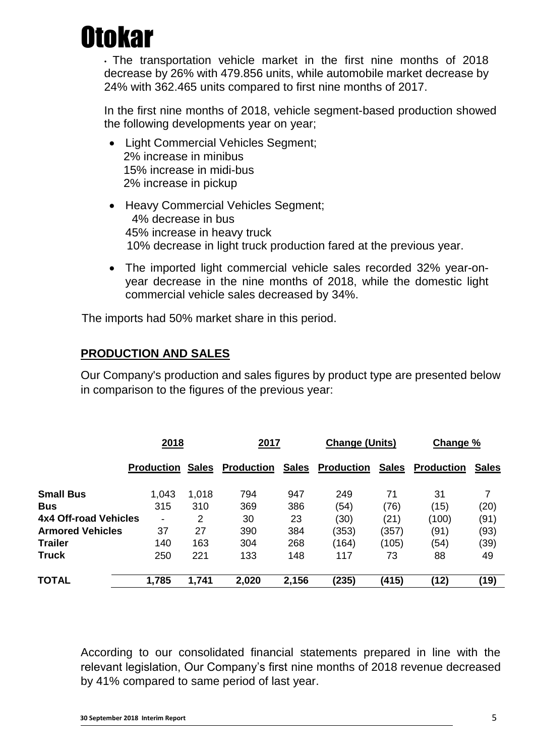• The transportation vehicle market in the first nine months of 2018 decrease by 26% with 479.856 units, while automobile market decrease by 24% with 362.465 units compared to first nine months of 2017.

In the first nine months of 2018, vehicle segment-based production showed the following developments year on year;

- Light Commercial Vehicles Segment; 2% increase in minibus 15% increase in midi-bus 2% increase in pickup
- Heavy Commercial Vehicles Segment; 4% decrease in bus 45% increase in heavy truck 10% decrease in light truck production fared at the previous year.
- The imported light commercial vehicle sales recorded 32% year-onyear decrease in the nine months of 2018, while the domestic light commercial vehicle sales decreased by 34%.

The imports had 50% market share in this period.

#### **PRODUCTION AND SALES**

Our Company's production and sales figures by product type are presented below in comparison to the figures of the previous year:

|                         | <u>2018</u>              |              | <u>2017</u>       |              | <b>Change (Units)</b> |              | Change %          |              |
|-------------------------|--------------------------|--------------|-------------------|--------------|-----------------------|--------------|-------------------|--------------|
|                         | Production               | <b>Sales</b> | <b>Production</b> | <b>Sales</b> | <b>Production</b>     | <b>Sales</b> | <b>Production</b> | <b>Sales</b> |
| <b>Small Bus</b>        | 1,043                    | 1,018        | 794               | 947          | 249                   | 71           | 31                |              |
| <b>Bus</b>              | 315                      | 310          | 369               | 386          | (54)                  | (76)         | (15)              | (20)         |
| 4x4 Off-road Vehicles   | $\overline{\phantom{a}}$ | 2            | 30                | 23           | (30)                  | (21)         | (100)             | (91)         |
| <b>Armored Vehicles</b> | 37                       | 27           | 390               | 384          | (353)                 | (357)        | (91)              | (93)         |
| <b>Trailer</b>          | 140                      | 163          | 304               | 268          | (164)                 | (105)        | (54)              | (39)         |
| <b>Truck</b>            | 250                      | 221          | 133               | 148          | 117                   | 73           | 88                | 49           |
|                         |                          |              |                   |              |                       |              |                   |              |
| <b>TOTAL</b>            | 1,785                    | 1,741        | 2,020             | 2,156        | (235)                 | (415)        | (12)              | (19)         |

According to our consolidated financial statements prepared in line with the relevant legislation, Our Company's first nine months of 2018 revenue decreased by 41% compared to same period of last year.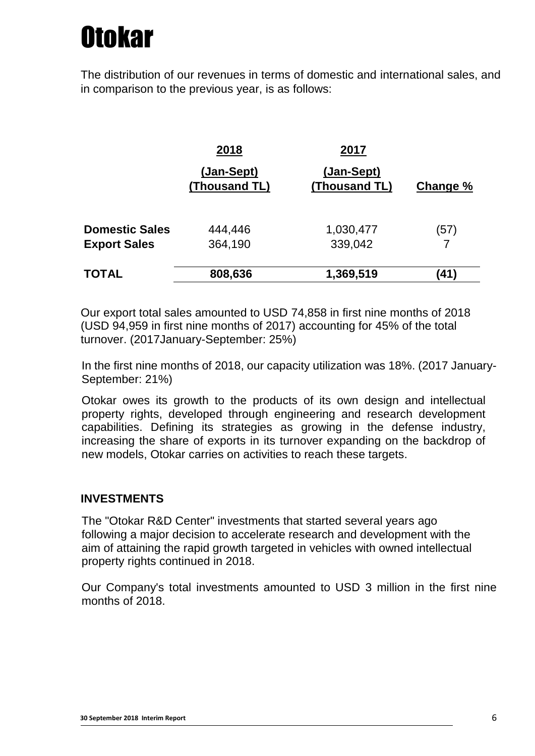The distribution of our revenues in terms of domestic and international sales, and in comparison to the previous year, is as follows:

|                       | 2018                        | 2017                        |          |
|-----------------------|-----------------------------|-----------------------------|----------|
|                       | (Jan-Sept)<br>(Thousand TL) | (Jan-Sept)<br>(Thousand TL) | Change % |
| <b>Domestic Sales</b> | 444,446                     | 1,030,477                   | (57)     |
| <b>Export Sales</b>   | 364,190                     | 339,042                     |          |
| <b>TOTAL</b>          | 808,636                     | 1,369,519                   | (41)     |

Our export total sales amounted to USD 74,858 in first nine months of 2018 (USD 94,959 in first nine months of 2017) accounting for 45% of the total turnover. (2017January-September: 25%)

In the first nine months of 2018, our capacity utilization was 18%. (2017 January-September: 21%)

Otokar owes its growth to the products of its own design and intellectual property rights, developed through engineering and research development capabilities. Defining its strategies as growing in the defense industry, increasing the share of exports in its turnover expanding on the backdrop of new models, Otokar carries on activities to reach these targets.

#### **INVESTMENTS**

The "Otokar R&D Center" investments that started several years ago following a major decision to accelerate research and development with the aim of attaining the rapid growth targeted in vehicles with owned intellectual property rights continued in 2018.

Our Company's total investments amounted to USD 3 million in the first nine months of 2018.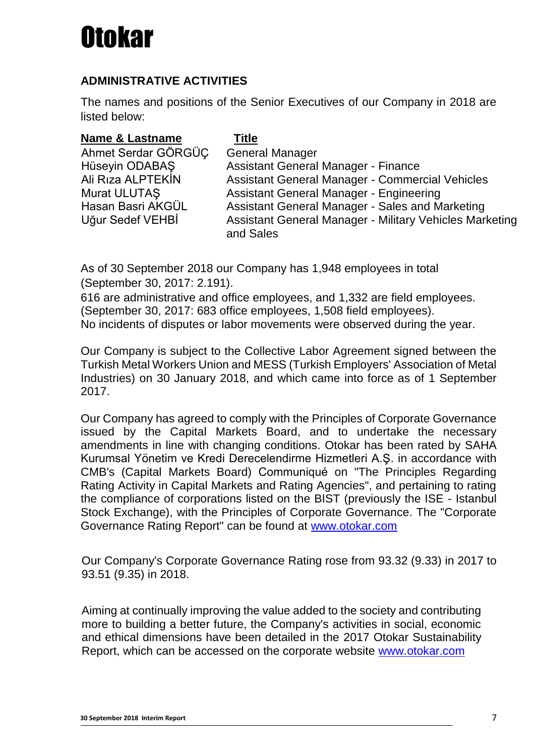#### **ADMINISTRATIVE ACTIVITIES**

The names and positions of the Senior Executives of our Company in 2018 are listed below:

| <b>Name &amp; Lastname</b> | <b>Title</b>                                            |
|----------------------------|---------------------------------------------------------|
| Ahmet Serdar GÖRGÜÇ        | <b>General Manager</b>                                  |
| Hüseyin ODABAS             | <b>Assistant General Manager - Finance</b>              |
| Ali Rıza ALPTEKİN          | <b>Assistant General Manager - Commercial Vehicles</b>  |
| Murat ULUTAŞ               | Assistant General Manager - Engineering                 |
| Hasan Basri AKGÜL          | Assistant General Manager - Sales and Marketing         |
| Uğur Sedef VEHBİ           | Assistant General Manager - Military Vehicles Marketing |
|                            | and Sales                                               |

As of 30 September 2018 our Company has 1,948 employees in total (September 30, 2017: 2.191).

616 are administrative and office employees, and 1,332 are field employees. (September 30, 2017: 683 office employees, 1,508 field employees). No incidents of disputes or labor movements were observed during the year.

Our Company is subject to the Collective Labor Agreement signed between the Turkish Metal Workers Union and MESS (Turkish Employers' Association of Metal Industries) on 30 January 2018, and which came into force as of 1 September 2017.

Our Company has agreed to comply with the Principles of Corporate Governance issued by the Capital Markets Board, and to undertake the necessary amendments in line with changing conditions. Otokar has been rated by SAHA Kurumsal Yönetim ve Kredi Derecelendirme Hizmetleri A.Ş. in accordance with CMB's (Capital Markets Board) Communiqué on "The Principles Regarding Rating Activity in Capital Markets and Rating Agencies", and pertaining to rating the compliance of corporations listed on the BIST (previously the ISE - Istanbul Stock Exchange), with the Principles of Corporate Governance. The "Corporate Governance Rating Report" can be found at [www.otokar.com](http://www.otokar.com/)

Our Company's Corporate Governance Rating rose from 93.32 (9.33) in 2017 to 93.51 (9.35) in 2018.

Aiming at continually improving the value added to the society and contributing more to building a better future, the Company's activities in social, economic and ethical dimensions have been detailed in the 2017 Otokar Sustainability Report, which can be accessed on the corporate website [www.otokar.com](http://www.otokar.com/)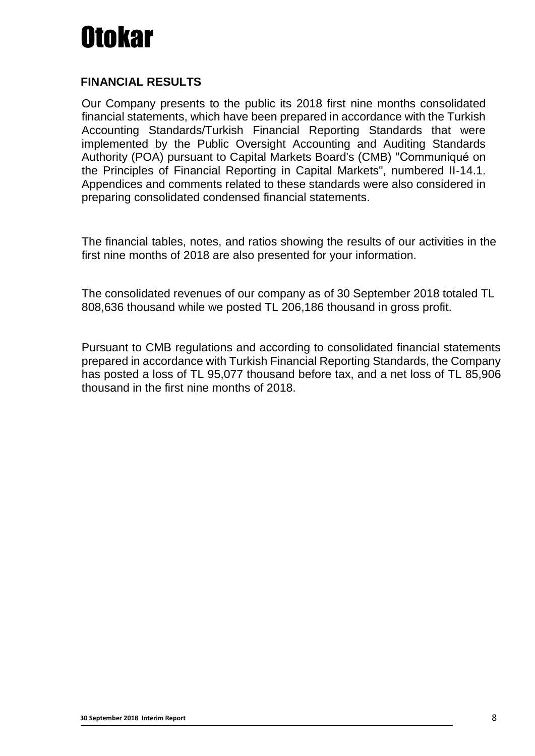#### **FINANCIAL RESULTS**

Our Company presents to the public its 2018 first nine months consolidated financial statements, which have been prepared in accordance with the Turkish Accounting Standards/Turkish Financial Reporting Standards that were implemented by the Public Oversight Accounting and Auditing Standards Authority (POA) pursuant to Capital Markets Board's (CMB) "Communiqué on the Principles of Financial Reporting in Capital Markets", numbered II-14.1. Appendices and comments related to these standards were also considered in preparing consolidated condensed financial statements.

The financial tables, notes, and ratios showing the results of our activities in the first nine months of 2018 are also presented for your information.

The consolidated revenues of our company as of 30 September 2018 totaled TL 808,636 thousand while we posted TL 206,186 thousand in gross profit.

Pursuant to CMB regulations and according to consolidated financial statements prepared in accordance with Turkish Financial Reporting Standards, the Company has posted a loss of TL 95,077 thousand before tax, and a net loss of TL 85,906 thousand in the first nine months of 2018.